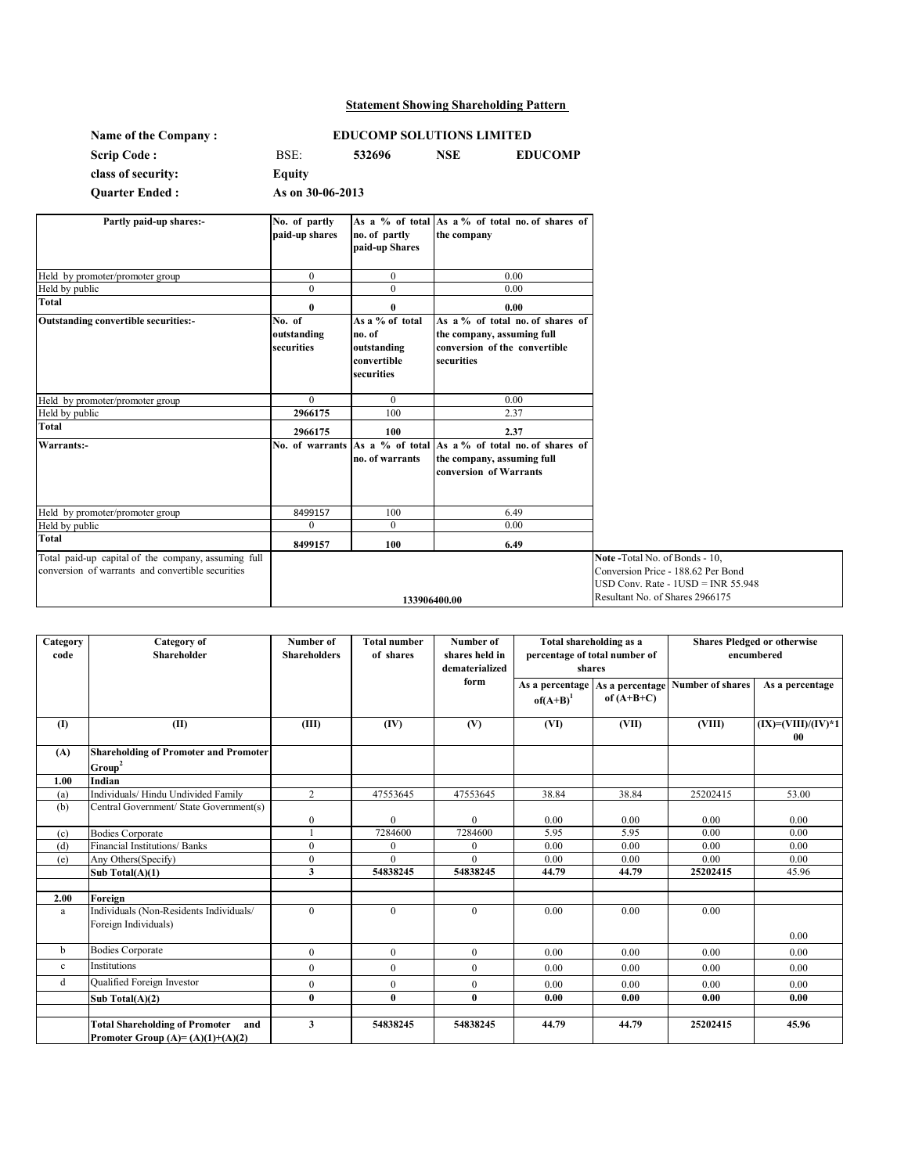# **Statement Showing Shareholding Pattern**

| Name of the Company:  |                  |        | <b>EDUCOMP SOLUTIONS LIMITED</b> |                |  |
|-----------------------|------------------|--------|----------------------------------|----------------|--|
| <b>Scrip Code:</b>    | BSE:             | 532696 | NSE                              | <b>EDUCOMP</b> |  |
| class of security:    | Equity           |        |                                  |                |  |
| <b>Ouarter Ended:</b> | As on 30-06-2013 |        |                                  |                |  |

| Partly paid-up shares:-                             | No. of partly   |                 | As a % of total As a % of total no. of shares of |                                      |
|-----------------------------------------------------|-----------------|-----------------|--------------------------------------------------|--------------------------------------|
|                                                     | paid-up shares  | no. of partly   | the company                                      |                                      |
|                                                     |                 | paid-up Shares  |                                                  |                                      |
|                                                     |                 |                 |                                                  |                                      |
| Held by promoter/promoter group                     | $\mathbf{0}$    | $\overline{0}$  | 0.00                                             |                                      |
| Held by public                                      | $\Omega$        | $\theta$        | 0.00                                             |                                      |
| <b>Total</b>                                        | $\bf{0}$        | $\bf{0}$        | 0.00                                             |                                      |
| <b>Outstanding convertible securities:-</b>         | No. of          | As a % of total | As a % of total no. of shares of                 |                                      |
|                                                     | outstanding     | no. of          | the company, assuming full                       |                                      |
|                                                     | securities      | outstanding     | conversion of the convertible                    |                                      |
|                                                     |                 | convertible     | securities                                       |                                      |
|                                                     |                 | securities      |                                                  |                                      |
|                                                     |                 |                 |                                                  |                                      |
| Held by promoter/promoter group                     | $\theta$        | $\theta$        | 0.00                                             |                                      |
| Held by public                                      | 2966175         | 100             | 2.37                                             |                                      |
| Total                                               | 2966175         | 100             | 2.37                                             |                                      |
| Warrants:-                                          | No. of warrants |                 | As a % of total As a % of total no. of shares of |                                      |
|                                                     |                 | no. of warrants | the company, assuming full                       |                                      |
|                                                     |                 |                 | conversion of Warrants                           |                                      |
|                                                     |                 |                 |                                                  |                                      |
|                                                     |                 |                 |                                                  |                                      |
| Held by promoter/promoter group                     | 8499157         | 100             | 6.49                                             |                                      |
| Held by public                                      | $\Omega$        | $\mathbf{0}$    | 0.00                                             |                                      |
| <b>Total</b>                                        | 8499157         | 100             | 6.49                                             |                                      |
| Total paid-up capital of the company, assuming full |                 |                 |                                                  | Note -Total No. of Bonds - 10,       |
| conversion of warrants and convertible securities   |                 |                 |                                                  | Conversion Price - 188.62 Per Bond   |
|                                                     |                 |                 |                                                  | $USD Conv. Rate - 1USD = INR 55.948$ |
|                                                     |                 |                 | 133906400.00                                     | Resultant No. of Shares 2966175      |
|                                                     |                 |                 |                                                  |                                      |

| Category<br>code | Category of<br><b>Shareholder</b>                                               | Number of<br><b>Shareholders</b> | <b>Total number</b><br>of shares | Number of<br>shares held in<br>dematerialized | Total shareholding as a<br>percentage of total number of<br>shares |              | <b>Shares Pledged or otherwise</b><br>encumbered |                            |
|------------------|---------------------------------------------------------------------------------|----------------------------------|----------------------------------|-----------------------------------------------|--------------------------------------------------------------------|--------------|--------------------------------------------------|----------------------------|
|                  |                                                                                 |                                  |                                  | form                                          | As a percentage<br>$of(A+B)^1$                                     | of $(A+B+C)$ | As a percentage Number of shares                 | As a percentage            |
| $\mathbf{I}$     | (II)                                                                            | (III)                            | (IV)                             | (V)                                           | (VI)                                                               | (VII)        | (VIII)                                           | $(IX)=(VIII)/(IV)*1$<br>00 |
| (A)              | <b>Shareholding of Promoter and Promoter</b><br>Group <sup>2</sup>              |                                  |                                  |                                               |                                                                    |              |                                                  |                            |
| 1.00             | Indian                                                                          |                                  |                                  |                                               |                                                                    |              |                                                  |                            |
| (a)              | Individuals/ Hindu Undivided Family                                             | $\overline{2}$                   | 47553645                         | 47553645                                      | 38.84                                                              | 38.84        | 25202415                                         | 53.00                      |
| (b)              | Central Government/ State Government(s)                                         | $\boldsymbol{0}$                 | $\mathbf{0}$                     | $\mathbf{0}$                                  | 0.00                                                               | 0.00         | 0.00                                             | 0.00                       |
| (c)              | <b>Bodies Corporate</b>                                                         |                                  | 7284600                          | 7284600                                       | 5.95                                                               | 5.95         | 0.00                                             | 0.00                       |
| (d)              | Financial Institutions/ Banks                                                   | $\mathbf{0}$                     | $\overline{0}$                   | $\mathbf{0}$                                  | 0.00                                                               | 0.00         | 0.00                                             | 0.00                       |
| (e)              | Any Others (Specify)                                                            | $\mathbf{0}$                     | $\Omega$                         | $\theta$                                      | 0.00                                                               | 0.00         | 0.00                                             | 0.00                       |
|                  | Sub Total $(A)(1)$                                                              | 3                                | 54838245                         | 54838245                                      | 44.79                                                              | 44.79        | 25202415                                         | 45.96                      |
| 2.00             | Foreign                                                                         |                                  |                                  |                                               |                                                                    |              |                                                  |                            |
| a                | Individuals (Non-Residents Individuals/<br>Foreign Individuals)                 | $\theta$                         | $\overline{0}$                   | $\mathbf{0}$                                  | 0.00                                                               | 0.00         | 0.00                                             |                            |
|                  |                                                                                 |                                  |                                  |                                               |                                                                    |              |                                                  | 0.00                       |
| b                | <b>Bodies Corporate</b>                                                         | $\theta$                         | $\overline{0}$                   | $\theta$                                      | 0.00                                                               | 0.00         | 0.00                                             | 0.00                       |
| $\mathbf{c}$     | Institutions                                                                    | $\theta$                         | $\Omega$                         | $\theta$                                      | 0.00                                                               | 0.00         | 0.00                                             | 0.00                       |
| d                | Qualified Foreign Investor                                                      | $\mathbf{0}$                     | $\overline{0}$                   | $\mathbf{0}$                                  | 0.00                                                               | 0.00         | 0.00                                             | 0.00                       |
|                  | Sub Total $(A)(2)$                                                              | $\bf{0}$                         | $\bf{0}$                         | $\bf{0}$                                      | 0.00                                                               | 0.00         | 0.00                                             | 0.00                       |
|                  | <b>Total Shareholding of Promoter</b> and<br>Promoter Group $(A)=(A)(1)+(A)(2)$ | 3                                | 54838245                         | 54838245                                      | 44.79                                                              | 44.79        | 25202415                                         | 45.96                      |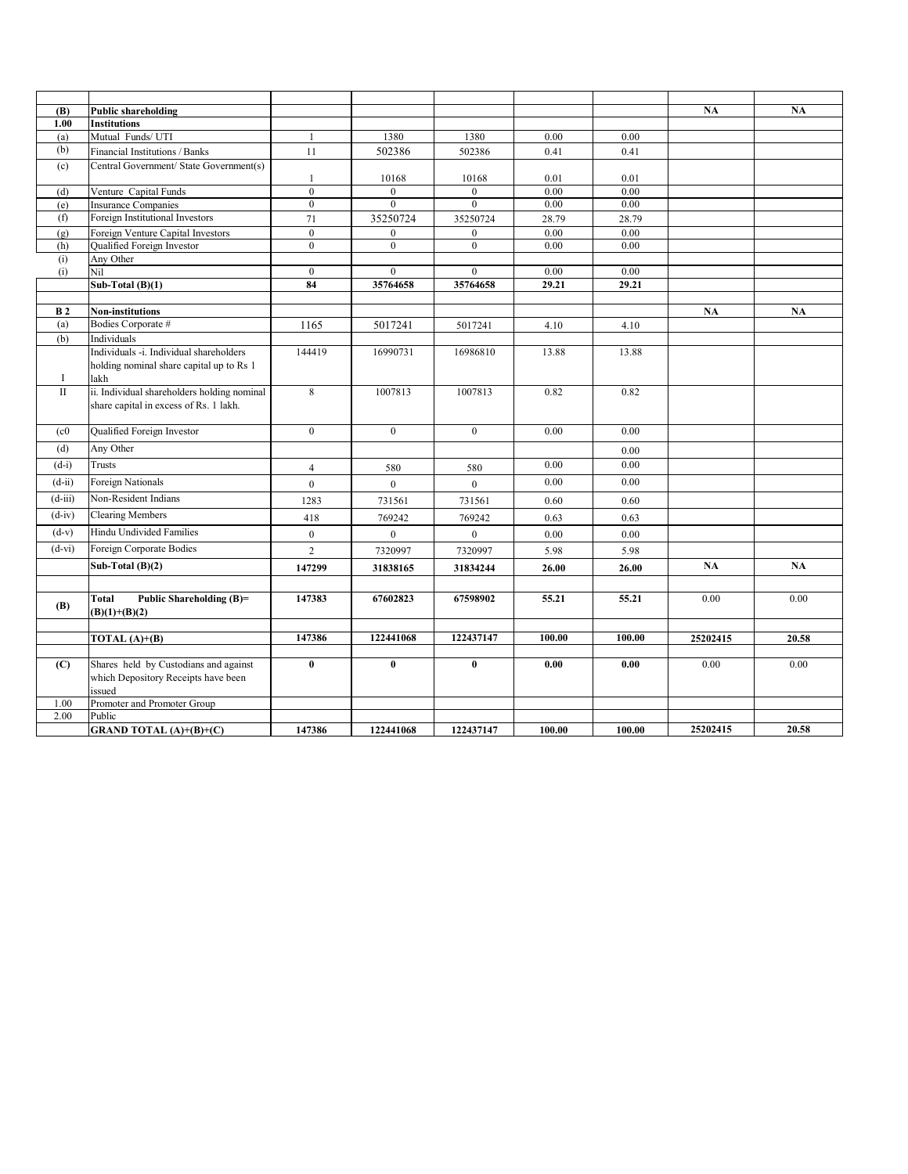| (B)               | <b>Public shareholding</b>                  |                    |                  |                  |               |               | NA       | NA    |
|-------------------|---------------------------------------------|--------------------|------------------|------------------|---------------|---------------|----------|-------|
| 1.00              | <b>Institutions</b>                         |                    |                  |                  |               |               |          |       |
| (a)               | Mutual Funds/ UTI                           |                    | 1380             | 1380             | 0.00          | 0.00          |          |       |
| (b)               | Financial Institutions / Banks              | 11                 | 502386           | 502386           | 0.41          | 0.41          |          |       |
| (c)               | Central Government/ State Government(s)     |                    |                  |                  |               |               |          |       |
|                   |                                             | $\mathbf{1}$       | 10168            | 10168            | 0.01          | 0.01          |          |       |
| (d)               | Venture Capital Funds                       | $\mathbf{0}$       | $\theta$         | $\mathbf{0}$     | 0.00          | 0.00          |          |       |
| (e)               | <b>Insurance Companies</b>                  | $\boldsymbol{0}$   | $\boldsymbol{0}$ | $\mathbf{0}$     | 0.00          | 0.00          |          |       |
| (f)               | Foreign Institutional Investors             | 71                 | 35250724         | 35250724         | 28.79         | 28.79         |          |       |
| (g)               | Foreign Venture Capital Investors           | $\overline{0}$     | $\overline{0}$   | $\mathbf{0}$     | 0.00          | 0.00          |          |       |
| (h)               | Qualified Foreign Investor                  | $\boldsymbol{0}$   | $\boldsymbol{0}$ | $\boldsymbol{0}$ | 0.00          | 0.00          |          |       |
| (i)               | Any Other                                   |                    | $\overline{0}$   | $\mathbf{0}$     |               |               |          |       |
| (i)               | Nil<br>Sub-Total $(B)(1)$                   | $\mathbf{0}$<br>84 | 35764658         | 35764658         | 0.00<br>29.21 | 0.00<br>29.21 |          |       |
|                   |                                             |                    |                  |                  |               |               |          |       |
| <b>B2</b>         | <b>Non-institutions</b>                     |                    |                  |                  |               |               | NA       | NA    |
| (a)               | Bodies Corporate #                          | 1165               | 5017241          | 5017241          | 4.10          | 4.10          |          |       |
| (b)               | Individuals                                 |                    |                  |                  |               |               |          |       |
|                   | Individuals -i. Individual shareholders     | 144419             | 16990731         | 16986810         | 13.88         | 13.88         |          |       |
|                   | holding nominal share capital up to Rs 1    |                    |                  |                  |               |               |          |       |
| I                 | lakh                                        |                    |                  |                  |               |               |          |       |
| $\mathbf{I}$      | ii. Individual shareholders holding nominal | $\overline{8}$     | 1007813          | 1007813          | 0.82          | 0.82          |          |       |
|                   | share capital in excess of Rs. 1 lakh.      |                    |                  |                  |               |               |          |       |
|                   |                                             |                    |                  |                  |               |               |          |       |
| (c <sub>0</sub> ) | Qualified Foreign Investor                  | $\overline{0}$     | $\boldsymbol{0}$ | $\mathbf{0}$     | 0.00          | 0.00          |          |       |
| (d)               | Any Other                                   |                    |                  |                  |               | 0.00          |          |       |
| $(d-i)$           | Trusts                                      | $\overline{4}$     | 580              | 580              | 0.00          | 0.00          |          |       |
| $(d-i)$           | Foreign Nationals                           | $\overline{0}$     | $\overline{0}$   | $\theta$         | 0.00          | 0.00          |          |       |
| $(d-iii)$         | Non-Resident Indians                        | 1283               | 731561           | 731561           | 0.60          | 0.60          |          |       |
| $(d-iv)$          | <b>Clearing Members</b>                     | 418                | 769242           | 769242           | 0.63          | 0.63          |          |       |
| $(d-v)$           | Hindu Undivided Families                    | $\boldsymbol{0}$   | $\mathbf{0}$     | $\mathbf{0}$     | 0.00          | 0.00          |          |       |
| $(d-vi)$          | Foreign Corporate Bodies                    | $\overline{c}$     | 7320997          | 7320997          | 5.98          | 5.98          |          |       |
|                   | Sub-Total $(B)(2)$                          | 147299             | 31838165         | 31834244         | 26.00         | 26.00         | NA       | NA    |
|                   |                                             |                    |                  |                  |               |               |          |       |
|                   | Public Shareholding (B)=<br>Total           | 147383             | 67602823         | 67598902         | 55.21         | 55.21         | 0.00     | 0.00  |
| (B)               | $(B)(1)+(B)(2)$                             |                    |                  |                  |               |               |          |       |
|                   |                                             |                    |                  |                  |               |               |          |       |
|                   | TOTAL $(A)+(B)$                             | 147386             | 122441068        | 122437147        | 100.00        | 100.00        | 25202415 | 20.58 |
|                   |                                             |                    |                  |                  |               |               |          |       |
| (C)               | Shares held by Custodians and against       | $\bf{0}$           | $\bf{0}$         | $\bf{0}$         | 0.00          | 0.00          | 0.00     | 0.00  |
|                   | which Depository Receipts have been         |                    |                  |                  |               |               |          |       |
|                   | issued                                      |                    |                  |                  |               |               |          |       |
| 1.00              | Promoter and Promoter Group                 |                    |                  |                  |               |               |          |       |
| 2.00              | Public                                      |                    |                  |                  |               |               |          |       |
|                   | <b>GRAND TOTAL (A)+(B)+(C)</b>              | 147386             | 122441068        | 122437147        | 100.00        | 100.00        | 25202415 | 20.58 |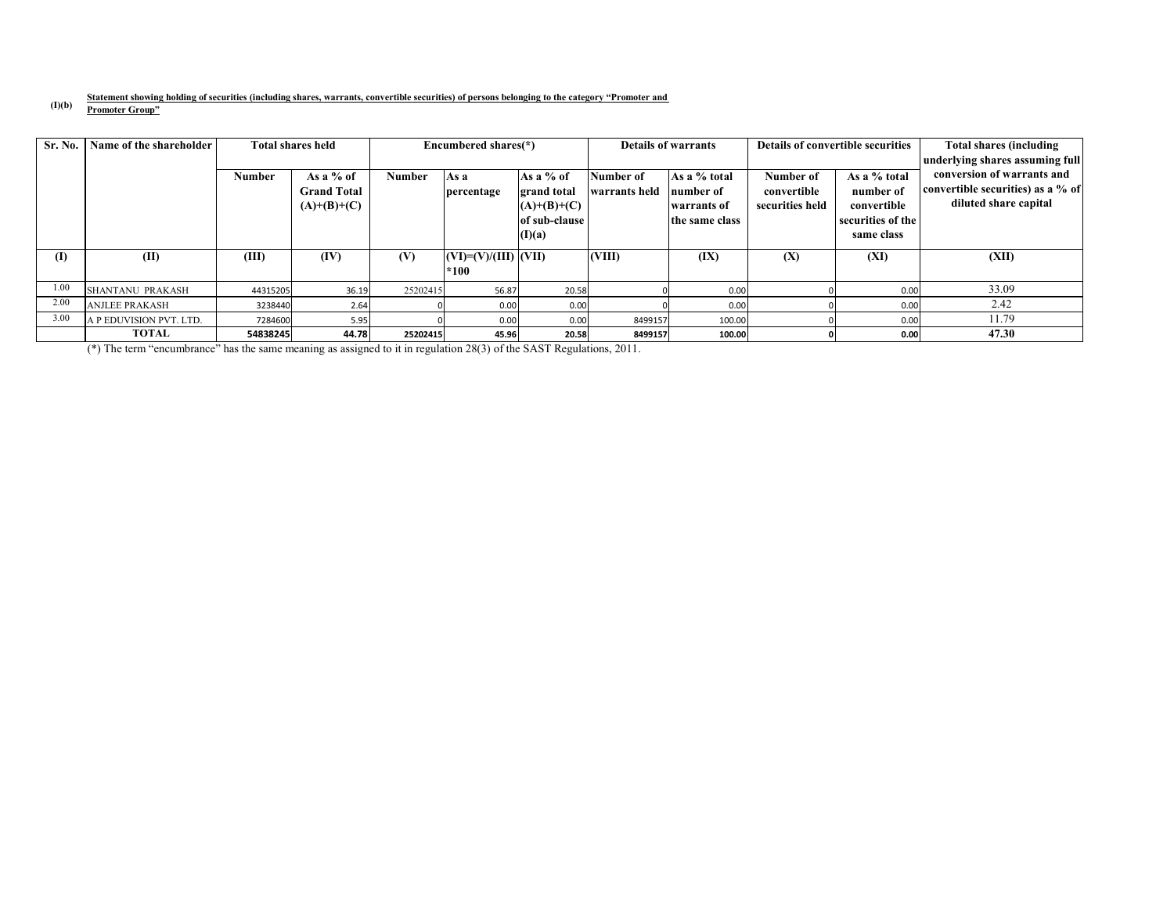#### **(I)(b) Statement showing holding of securities (including shares, warrants, convertible securities) of persons belonging to the category "Promoter and Promoter Group"**

| <b>Sr. No.</b> | Name of the shareholder |               | <b>Total shares held</b> | Encumbered shares(*) |                                  | Details of warrants            |               | Details of convertible securities |                 | <b>Total shares (including)</b>  |                                                               |
|----------------|-------------------------|---------------|--------------------------|----------------------|----------------------------------|--------------------------------|---------------|-----------------------------------|-----------------|----------------------------------|---------------------------------------------------------------|
|                |                         | <b>Number</b> | As a $%$ of              | <b>Number</b>        | As a                             | As a $%$ of                    | Number of     | As a % total                      | Number of       | As a % total                     | underlying shares assuming full<br>conversion of warrants and |
|                |                         |               | <b>Grand Total</b>       |                      | percentage                       | grand total                    | warrants held | number of                         | convertible     | number of                        | convertible securities) as a % of<br>diluted share capital    |
|                |                         |               | $(A)+(B)+(C)$            |                      |                                  | $(A)+(B)+(C)$<br>of sub-clause |               | warrants of<br>the same class     | securities held | convertible<br>securities of the |                                                               |
|                |                         |               |                          |                      |                                  | (I)(a)                         |               |                                   |                 | same class                       |                                                               |
| (I)            | (II)                    | (III)         | (IV)                     | (V)                  | $(VI)=(V)/(III)$ $(VII)$<br>*100 |                                | (VIII)        | (IX)                              | (X)             | (XI)                             | (XII)                                                         |
| 1.00           | <b>SHANTANU PRAKASH</b> | 44315205      | 36.19                    | 25202415             | 56.87                            | 20.58                          |               | 0.00                              |                 | 0.00                             | 33.09                                                         |
| 2.00           | <b>ANJLEE PRAKASH</b>   | 3238440       | 2.64                     |                      | 0.00                             | 0.00                           |               | 0.00                              |                 | 0.00                             | 2.42                                                          |
| 3.00           | A P EDUVISION PVT. LTD. | 7284600       | 5.95                     |                      | 0.00                             | 0.00                           | 8499157       | 100.00                            |                 | 0.00                             | 11.79                                                         |
|                | TOTAL                   | 54838245      | 44.78                    | 25202415             | 45.96                            | 20.58                          | 8499157       | 100.00                            |                 | 0.00                             | 47.30                                                         |

(\*) The term "encumbrance" has the same meaning as assigned to it in regulation 28(3) of the SAST Regulations, 2011.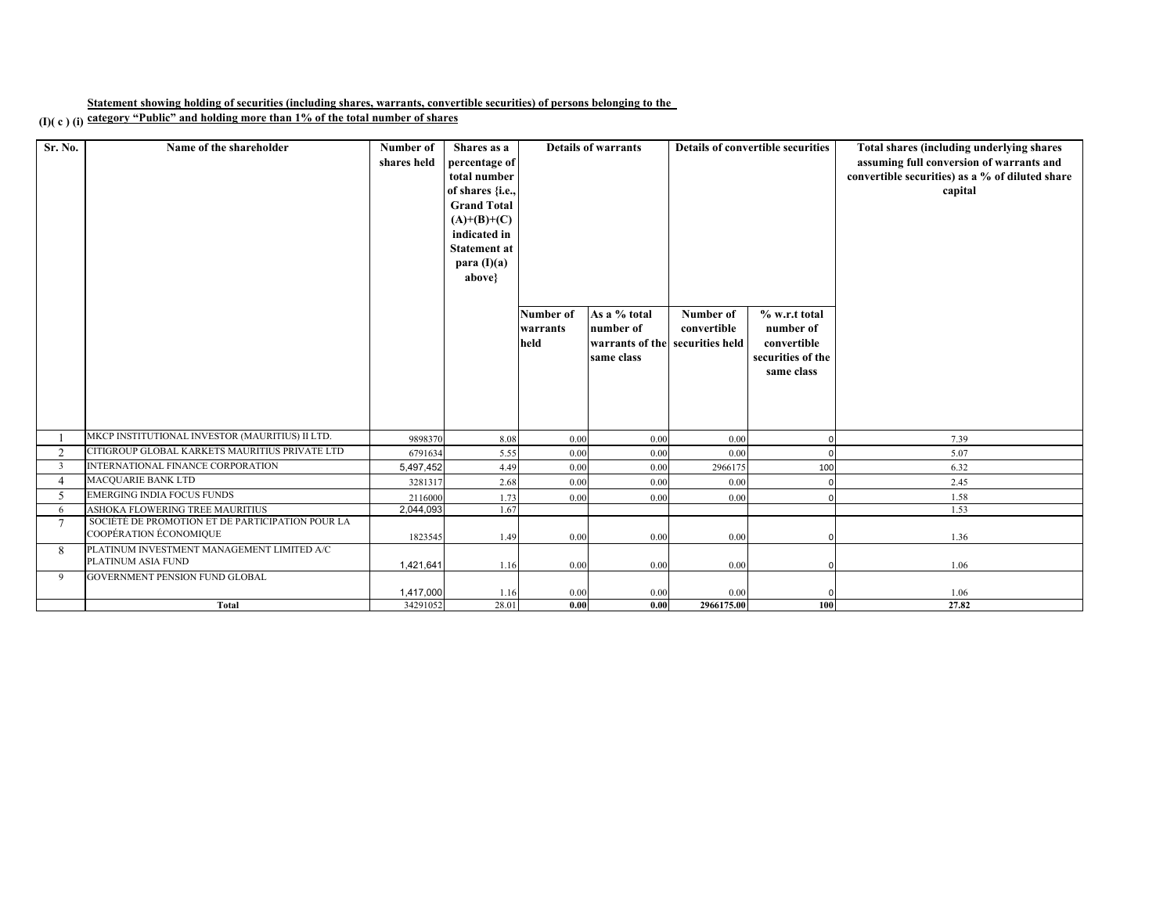**Statement showing holding of securities (including shares, warrants, convertible securities) of persons belonging to the** 

**(I)( c ) (i) category "Public" and holding more than 1% of the total number of shares**

| Sr. No.        | Name of the shareholder                                                    | Number of<br>shares held | Shares as a<br>percentage of<br>total number<br>of shares {i.e.,<br><b>Grand Total</b> |                               | <b>Details of warrants</b>                                                 | <b>Details of convertible securities</b> |                                                                              | Total shares (including underlying shares<br>assuming full conversion of warrants and<br>convertible securities) as a % of diluted share<br>capital |
|----------------|----------------------------------------------------------------------------|--------------------------|----------------------------------------------------------------------------------------|-------------------------------|----------------------------------------------------------------------------|------------------------------------------|------------------------------------------------------------------------------|-----------------------------------------------------------------------------------------------------------------------------------------------------|
|                |                                                                            |                          | $(A)+(B)+(C)$<br>indicated in<br><b>Statement at</b><br>para $(I)(a)$<br>above}        |                               |                                                                            |                                          |                                                                              |                                                                                                                                                     |
|                |                                                                            |                          |                                                                                        | Number of<br>warrants<br>held | As a % total<br>number of<br>warrants of the securities held<br>same class | Number of<br>convertible                 | % w.r.t total<br>number of<br>convertible<br>securities of the<br>same class |                                                                                                                                                     |
|                | MKCP INSTITUTIONAL INVESTOR (MAURITIUS) II LTD.                            | 9898370                  | 8.08                                                                                   | 0.00                          | 0.00                                                                       | 0.00                                     |                                                                              | 7.39                                                                                                                                                |
| 2              | CITIGROUP GLOBAL KARKETS MAURITIUS PRIVATE LTD                             | 6791634                  | 5.55                                                                                   | 0.00                          | 0.00                                                                       | 0.00                                     |                                                                              | 5.07                                                                                                                                                |
| 3              | INTERNATIONAL FINANCE CORPORATION                                          | 5,497,452                | 4.49                                                                                   | 0.00                          | $0.00\,$                                                                   | 2966175                                  | 100                                                                          | 6.32                                                                                                                                                |
| $\Delta$       | <b>MACQUARIE BANK LTD</b>                                                  | 3281317                  | 2.68                                                                                   | 0.00                          | 0.00                                                                       | 0.00                                     |                                                                              | 2.45                                                                                                                                                |
| $\sim$         | <b>EMERGING INDIA FOCUS FUNDS</b>                                          | 2116000                  | 1.73                                                                                   | 0.00                          | 0.00                                                                       | 0.00                                     |                                                                              | 1.58                                                                                                                                                |
| -6             | ASHOKA FLOWERING TREE MAURITIUS                                            | 2,044,093                | 1.67                                                                                   |                               |                                                                            |                                          |                                                                              | 1.53                                                                                                                                                |
| $\overline{7}$ | SOCIÉTÉ DE PROMOTION ET DE PARTICIPATION POUR LA<br>COOPÉRATION ÉCONOMIQUE | 1823545                  | 1.49                                                                                   | 0.00                          | 0.00                                                                       | 0.00                                     |                                                                              | 1.36                                                                                                                                                |
| 8              | PLATINUM INVESTMENT MANAGEMENT LIMITED A/C<br>PLATINUM ASIA FUND           | 1,421,641                | 1.16                                                                                   | 0.00                          | 0.00                                                                       | 0.00                                     |                                                                              | 1.06                                                                                                                                                |
| 9              | <b>GOVERNMENT PENSION FUND GLOBAL</b>                                      | 1,417,000                | 1.16                                                                                   | 0.00                          | 0.00                                                                       | 0.00                                     |                                                                              | 1.06                                                                                                                                                |
|                | <b>Total</b>                                                               | 34291052                 | 28.01                                                                                  | 0.00                          | 0.00                                                                       | 2966175.00                               | 100                                                                          | 27.82                                                                                                                                               |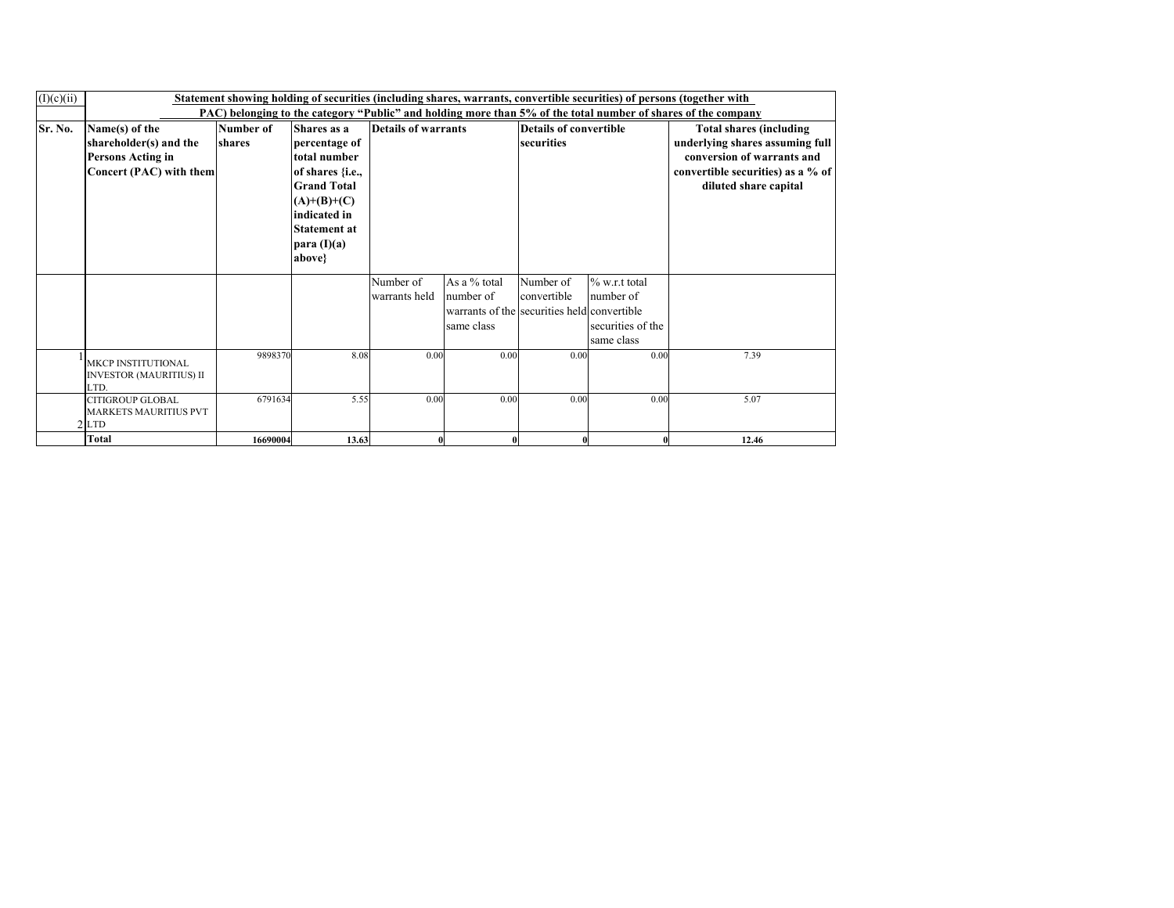| (I)(c)(ii) | Statement showing holding of securities (including shares, warrants, convertible securities) of persons (together with<br>PAC) belonging to the category "Public" and holding more than 5% of the total number of shares of the company |                     |                                                                                                                                                                           |                            |                                                                                        |                                             |                                                                  |                                                                                                                                                               |  |  |  |
|------------|-----------------------------------------------------------------------------------------------------------------------------------------------------------------------------------------------------------------------------------------|---------------------|---------------------------------------------------------------------------------------------------------------------------------------------------------------------------|----------------------------|----------------------------------------------------------------------------------------|---------------------------------------------|------------------------------------------------------------------|---------------------------------------------------------------------------------------------------------------------------------------------------------------|--|--|--|
| Sr. No.    | Name(s) of the<br>shareholder(s) and the<br><b>Persons Acting in</b><br>Concert (PAC) with them                                                                                                                                         | Number of<br>shares | Shares as a<br>percentage of<br>total number<br>of shares {i.e.,<br><b>Grand Total</b><br>$(A)+(B)+(C)$<br>indicated in<br><b>Statement at</b><br>para $(I)(a)$<br>above} | Details of warrants        |                                                                                        | <b>Details of convertible</b><br>securities |                                                                  | <b>Total shares (including</b><br>underlying shares assuming full<br>conversion of warrants and<br>convertible securities) as a % of<br>diluted share capital |  |  |  |
|            |                                                                                                                                                                                                                                         |                     |                                                                                                                                                                           | Number of<br>warrants held | As a % total<br>number of<br>warrants of the securities held convertible<br>same class | Number of<br>convertible                    | $\%$ w.r.t total<br>number of<br>securities of the<br>same class |                                                                                                                                                               |  |  |  |
|            | <b>MKCP INSTITUTIONAL</b><br><b>INVESTOR (MAURITIUS) II</b><br>LTD.                                                                                                                                                                     | 9898370             | 8.08                                                                                                                                                                      | 0.00                       | 0.00                                                                                   | 0.00                                        | 0.00                                                             | 7.39                                                                                                                                                          |  |  |  |
|            | <b>CITIGROUP GLOBAL</b><br><b>MARKETS MAURITIUS PVT</b><br>$2$ LTD                                                                                                                                                                      | 6791634             | 5.55                                                                                                                                                                      | 0.00                       | 0.00                                                                                   | 0.00                                        | 0.00                                                             | 5.07                                                                                                                                                          |  |  |  |
|            | <b>Total</b>                                                                                                                                                                                                                            | 16690004            | 13.63                                                                                                                                                                     |                            |                                                                                        |                                             |                                                                  | 12.46                                                                                                                                                         |  |  |  |